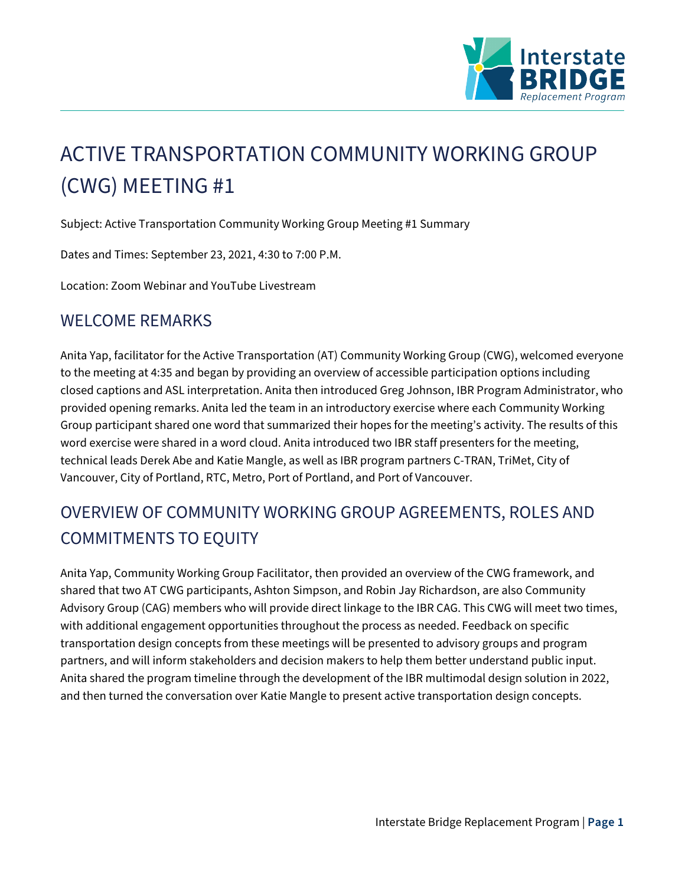

# ACTIVE TRANSPORTATION COMMUNITY WORKING GROUP (CWG) MEETING #1

Subject: Active Transportation Community Working Group Meeting #1 Summary

Dates and Times: September 23, 2021, 4:30 to 7:00 P.M.

Location: Zoom Webinar and YouTube Livestream

## WELCOME REMARKS

Anita Yap, facilitator for the Active Transportation (AT) Community Working Group (CWG), welcomed everyone to the meeting at 4:35 and began by providing an overview of accessible participation options including closed captions and ASL interpretation. Anita then introduced Greg Johnson, IBR Program Administrator, who provided opening remarks. Anita led the team in an introductory exercise where each Community Working Group participant shared one word that summarized their hopes for the meeting's activity. The results of this word exercise were shared in a word cloud. Anita introduced two IBR staff presenters for the meeting, technical leads Derek Abe and Katie Mangle, as well as IBR program partners C-TRAN, TriMet, City of Vancouver, City of Portland, RTC, Metro, Port of Portland, and Port of Vancouver.

# OVERVIEW OF COMMUNITY WORKING GROUP AGREEMENTS, ROLES AND COMMITMENTS TO EQUITY

Anita Yap, Community Working Group Facilitator, then provided an overview of the CWG framework, and shared that two AT CWG participants, Ashton Simpson, and Robin Jay Richardson, are also Community Advisory Group (CAG) members who will provide direct linkage to the IBR CAG. This CWG will meet two times, with additional engagement opportunities throughout the process as needed. Feedback on specific transportation design concepts from these meetings will be presented to advisory groups and program partners, and will inform stakeholders and decision makers to help them better understand public input. Anita shared the program timeline through the development of the IBR multimodal design solution in 2022, and then turned the conversation over Katie Mangle to present active transportation design concepts.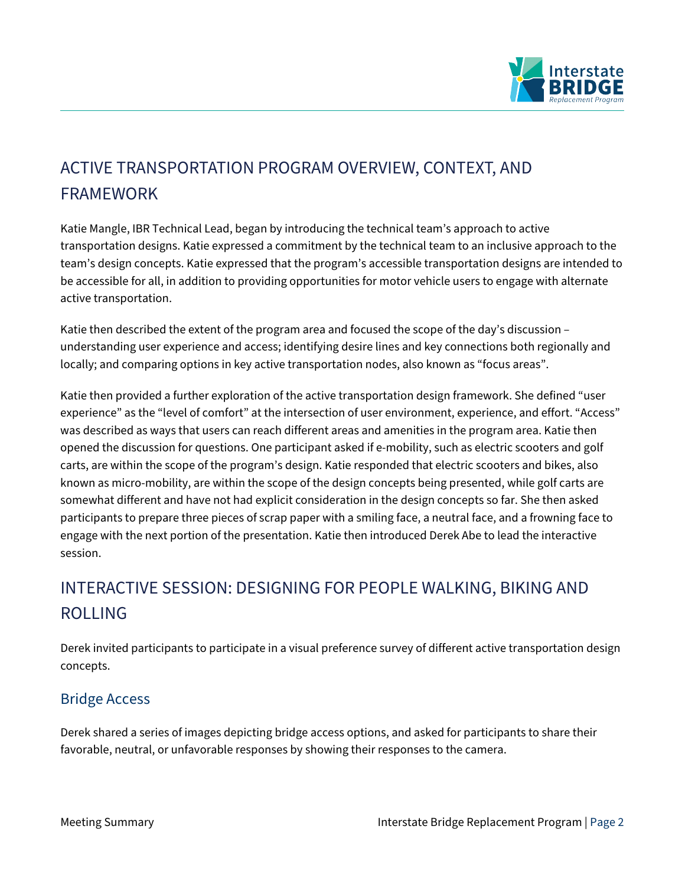

# ACTIVE TRANSPORTATION PROGRAM OVERVIEW, CONTEXT, AND FRAMEWORK

Katie Mangle, IBR Technical Lead, began by introducing the technical team's approach to active transportation designs. Katie expressed a commitment by the technical team to an inclusive approach to the team's design concepts. Katie expressed that the program's accessible transportation designs are intended to be accessible for all, in addition to providing opportunities for motor vehicle users to engage with alternate active transportation.

Katie then described the extent of the program area and focused the scope of the day's discussion – understanding user experience and access; identifying desire lines and key connections both regionally and locally; and comparing options in key active transportation nodes, also known as "focus areas".

Katie then provided a further exploration of the active transportation design framework. She defined "user experience" as the "level of comfort" at the intersection of user environment, experience, and effort. "Access" was described as ways that users can reach different areas and amenities in the program area. Katie then opened the discussion for questions. One participant asked if e-mobility, such as electric scooters and golf carts, are within the scope of the program's design. Katie responded that electric scooters and bikes, also known as micro-mobility, are within the scope of the design concepts being presented, while golf carts are somewhat different and have not had explicit consideration in the design concepts so far. She then asked participants to prepare three pieces of scrap paper with a smiling face, a neutral face, and a frowning face to engage with the next portion of the presentation. Katie then introduced Derek Abe to lead the interactive session.

# INTERACTIVE SESSION: DESIGNING FOR PEOPLE WALKING, BIKING AND ROLLING

Derek invited participants to participate in a visual preference survey of different active transportation design concepts.

## Bridge Access

Derek shared a series of images depicting bridge access options, and asked for participants to share their favorable, neutral, or unfavorable responses by showing their responses to the camera.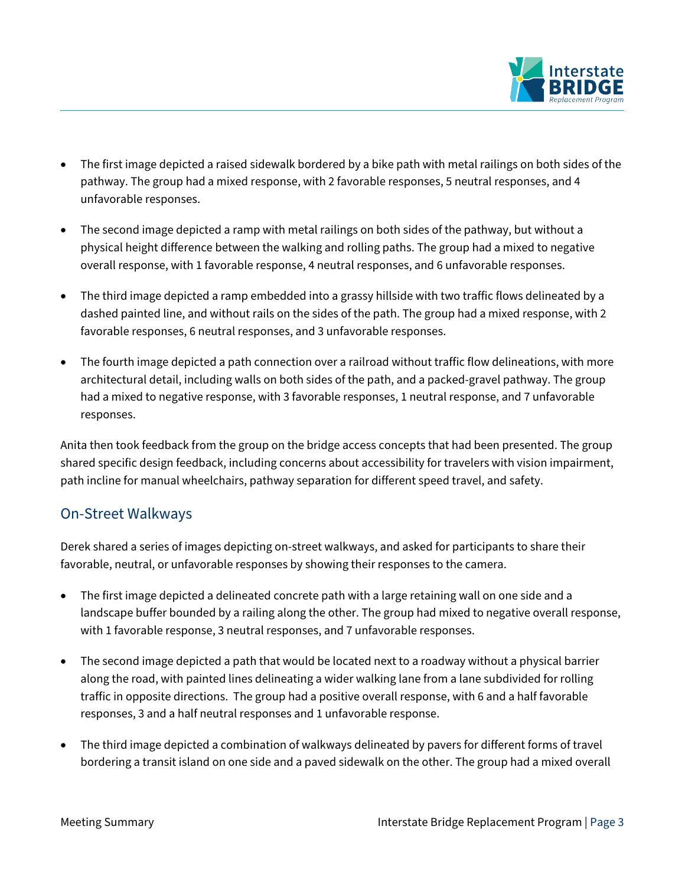

- The first image depicted a raised sidewalk bordered by a bike path with metal railings on both sides of the pathway. The group had a mixed response, with 2 favorable responses, 5 neutral responses, and 4 unfavorable responses.
- The second image depicted a ramp with metal railings on both sides of the pathway, but without a physical height difference between the walking and rolling paths. The group had a mixed to negative overall response, with 1 favorable response, 4 neutral responses, and 6 unfavorable responses.
- The third image depicted a ramp embedded into a grassy hillside with two traffic flows delineated by a dashed painted line, and without rails on the sides of the path. The group had a mixed response, with 2 favorable responses, 6 neutral responses, and 3 unfavorable responses.
- The fourth image depicted a path connection over a railroad without traffic flow delineations, with more architectural detail, including walls on both sides of the path, and a packed-gravel pathway. The group had a mixed to negative response, with 3 favorable responses, 1 neutral response, and 7 unfavorable responses.

Anita then took feedback from the group on the bridge access concepts that had been presented. The group shared specific design feedback, including concerns about accessibility for travelers with vision impairment, path incline for manual wheelchairs, pathway separation for different speed travel, and safety.

### On-Street Walkways

Derek shared a series of images depicting on-street walkways, and asked for participants to share their favorable, neutral, or unfavorable responses by showing their responses to the camera.

- The first image depicted a delineated concrete path with a large retaining wall on one side and a landscape buffer bounded by a railing along the other. The group had mixed to negative overall response, with 1 favorable response, 3 neutral responses, and 7 unfavorable responses.
- The second image depicted a path that would be located next to a roadway without a physical barrier along the road, with painted lines delineating a wider walking lane from a lane subdivided for rolling traffic in opposite directions. The group had a positive overall response, with 6 and a half favorable responses, 3 and a half neutral responses and 1 unfavorable response.
- The third image depicted a combination of walkways delineated by pavers for different forms of travel bordering a transit island on one side and a paved sidewalk on the other. The group had a mixed overall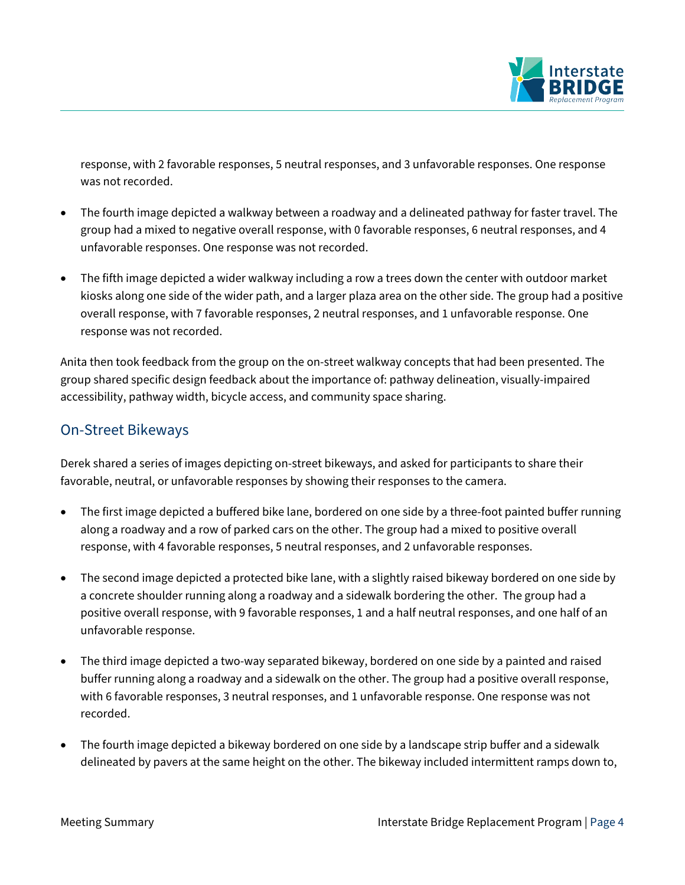

response, with 2 favorable responses, 5 neutral responses, and 3 unfavorable responses. One response was not recorded.

- The fourth image depicted a walkway between a roadway and a delineated pathway for faster travel. The group had a mixed to negative overall response, with 0 favorable responses, 6 neutral responses, and 4 unfavorable responses. One response was not recorded.
- The fifth image depicted a wider walkway including a row a trees down the center with outdoor market kiosks along one side of the wider path, and a larger plaza area on the other side. The group had a positive overall response, with 7 favorable responses, 2 neutral responses, and 1 unfavorable response. One response was not recorded.

Anita then took feedback from the group on the on-street walkway concepts that had been presented. The group shared specific design feedback about the importance of: pathway delineation, visually-impaired accessibility, pathway width, bicycle access, and community space sharing.

#### On-Street Bikeways

Derek shared a series of images depicting on-street bikeways, and asked for participants to share their favorable, neutral, or unfavorable responses by showing their responses to the camera.

- The first image depicted a buffered bike lane, bordered on one side by a three-foot painted buffer running along a roadway and a row of parked cars on the other. The group had a mixed to positive overall response, with 4 favorable responses, 5 neutral responses, and 2 unfavorable responses.
- The second image depicted a protected bike lane, with a slightly raised bikeway bordered on one side by a concrete shoulder running along a roadway and a sidewalk bordering the other. The group had a positive overall response, with 9 favorable responses, 1 and a half neutral responses, and one half of an unfavorable response.
- The third image depicted a two-way separated bikeway, bordered on one side by a painted and raised buffer running along a roadway and a sidewalk on the other. The group had a positive overall response, with 6 favorable responses, 3 neutral responses, and 1 unfavorable response. One response was not recorded.
- The fourth image depicted a bikeway bordered on one side by a landscape strip buffer and a sidewalk delineated by pavers at the same height on the other. The bikeway included intermittent ramps down to,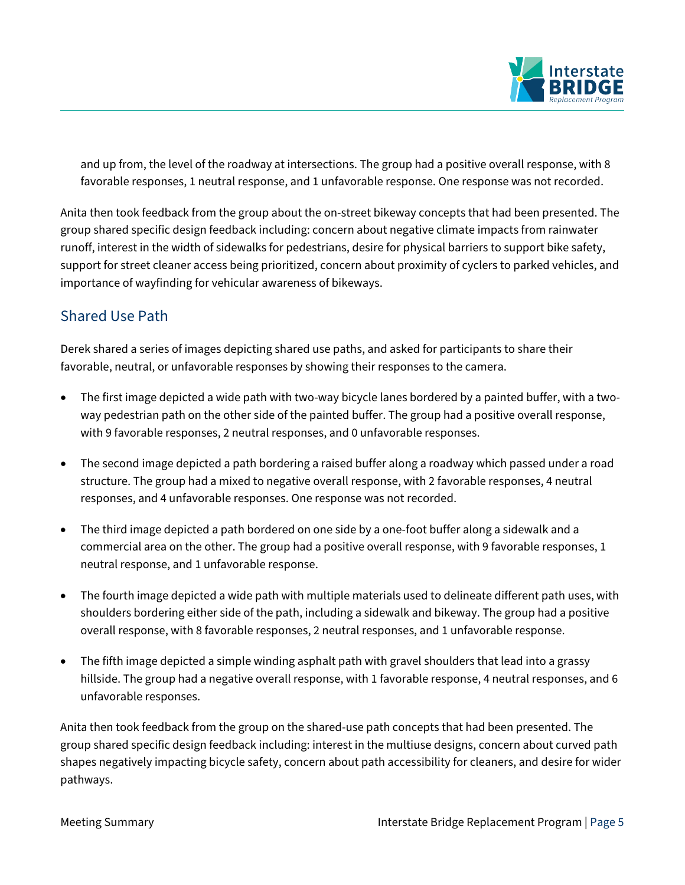

and up from, the level of the roadway at intersections. The group had a positive overall response, with 8 favorable responses, 1 neutral response, and 1 unfavorable response. One response was not recorded.

Anita then took feedback from the group about the on-street bikeway concepts that had been presented. The group shared specific design feedback including: concern about negative climate impacts from rainwater runoff, interest in the width of sidewalks for pedestrians, desire for physical barriers to support bike safety, support for street cleaner access being prioritized, concern about proximity of cyclers to parked vehicles, and importance of wayfinding for vehicular awareness of bikeways.

### Shared Use Path

Derek shared a series of images depicting shared use paths, and asked for participants to share their favorable, neutral, or unfavorable responses by showing their responses to the camera.

- The first image depicted a wide path with two-way bicycle lanes bordered by a painted buffer, with a twoway pedestrian path on the other side of the painted buffer. The group had a positive overall response, with 9 favorable responses, 2 neutral responses, and 0 unfavorable responses.
- The second image depicted a path bordering a raised buffer along a roadway which passed under a road structure. The group had a mixed to negative overall response, with 2 favorable responses, 4 neutral responses, and 4 unfavorable responses. One response was not recorded.
- The third image depicted a path bordered on one side by a one-foot buffer along a sidewalk and a commercial area on the other. The group had a positive overall response, with 9 favorable responses, 1 neutral response, and 1 unfavorable response.
- The fourth image depicted a wide path with multiple materials used to delineate different path uses, with shoulders bordering either side of the path, including a sidewalk and bikeway. The group had a positive overall response, with 8 favorable responses, 2 neutral responses, and 1 unfavorable response.
- The fifth image depicted a simple winding asphalt path with gravel shoulders that lead into a grassy hillside. The group had a negative overall response, with 1 favorable response, 4 neutral responses, and 6 unfavorable responses.

Anita then took feedback from the group on the shared-use path concepts that had been presented. The group shared specific design feedback including: interest in the multiuse designs, concern about curved path shapes negatively impacting bicycle safety, concern about path accessibility for cleaners, and desire for wider pathways.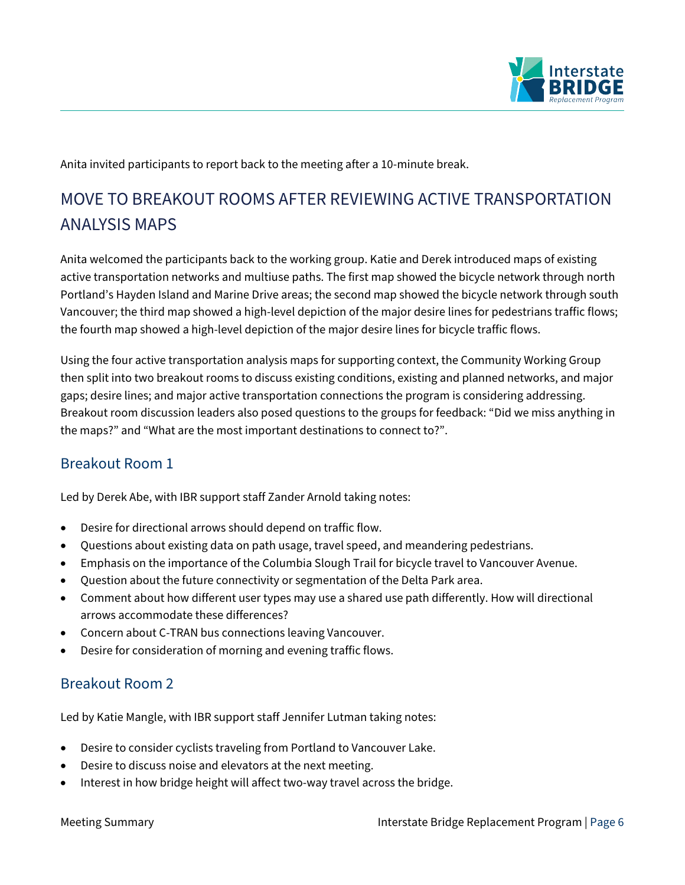

Anita invited participants to report back to the meeting after a 10-minute break.

# MOVE TO BREAKOUT ROOMS AFTER REVIEWING ACTIVE TRANSPORTATION ANALYSIS MAPS

Anita welcomed the participants back to the working group. Katie and Derek introduced maps of existing active transportation networks and multiuse paths. The first map showed the bicycle network through north Portland's Hayden Island and Marine Drive areas; the second map showed the bicycle network through south Vancouver; the third map showed a high-level depiction of the major desire lines for pedestrians traffic flows; the fourth map showed a high-level depiction of the major desire lines for bicycle traffic flows.

Using the four active transportation analysis maps for supporting context, the Community Working Group then split into two breakout rooms to discuss existing conditions, existing and planned networks, and major gaps; desire lines; and major active transportation connections the program is considering addressing. Breakout room discussion leaders also posed questions to the groups for feedback: "Did we miss anything in the maps?" and "What are the most important destinations to connect to?".

#### Breakout Room 1

Led by Derek Abe, with IBR support staff Zander Arnold taking notes:

- Desire for directional arrows should depend on traffic flow.
- Questions about existing data on path usage, travel speed, and meandering pedestrians.
- Emphasis on the importance of the Columbia Slough Trail for bicycle travel to Vancouver Avenue.
- Question about the future connectivity or segmentation of the Delta Park area.
- Comment about how different user types may use a shared use path differently. How will directional arrows accommodate these differences?
- Concern about C-TRAN bus connections leaving Vancouver.
- Desire for consideration of morning and evening traffic flows.

### Breakout Room 2

Led by Katie Mangle, with IBR support staff Jennifer Lutman taking notes:

- Desire to consider cyclists traveling from Portland to Vancouver Lake.
- Desire to discuss noise and elevators at the next meeting.
- Interest in how bridge height will affect two-way travel across the bridge.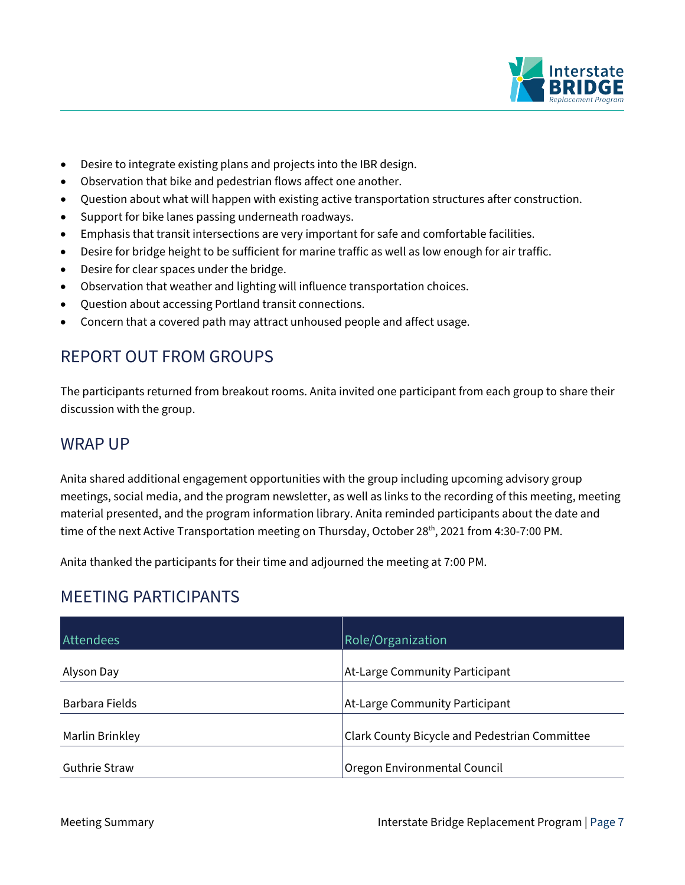

- Desire to integrate existing plans and projects into the IBR design.
- Observation that bike and pedestrian flows affect one another.
- Question about what will happen with existing active transportation structures after construction.
- Support for bike lanes passing underneath roadways.
- Emphasis that transit intersections are very important for safe and comfortable facilities.
- Desire for bridge height to be sufficient for marine traffic as well as low enough for air traffic.
- Desire for clear spaces under the bridge.
- Observation that weather and lighting will influence transportation choices.
- Question about accessing Portland transit connections.
- Concern that a covered path may attract unhoused people and affect usage.

# REPORT OUT FROM GROUPS

The participants returned from breakout rooms. Anita invited one participant from each group to share their discussion with the group.

## WRAP UP

Anita shared additional engagement opportunities with the group including upcoming advisory group meetings, social media, and the program newsletter, as well as links to the recording of this meeting, meeting material presented, and the program information library. Anita reminded participants about the date and time of the next Active Transportation meeting on Thursday, October 28<sup>th</sup>, 2021 from 4:30-7:00 PM.

Anita thanked the participants for their time and adjourned the meeting at 7:00 PM.

## MEETING PARTICIPANTS

| <b>Attendees</b>     | Role/Organization                             |
|----------------------|-----------------------------------------------|
| Alyson Day           | At-Large Community Participant                |
| Barbara Fields       | At-Large Community Participant                |
| Marlin Brinkley      | Clark County Bicycle and Pedestrian Committee |
| <b>Guthrie Straw</b> | Oregon Environmental Council                  |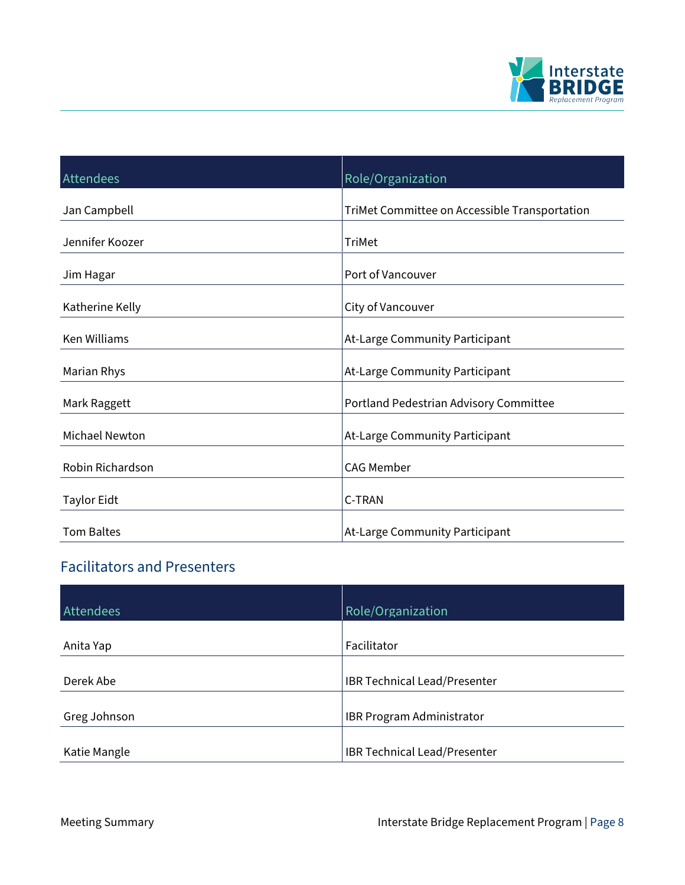

| Attendees             | Role/Organization                             |
|-----------------------|-----------------------------------------------|
| Jan Campbell          | TriMet Committee on Accessible Transportation |
| Jennifer Koozer       | <b>TriMet</b>                                 |
| Jim Hagar             | Port of Vancouver                             |
| Katherine Kelly       | City of Vancouver                             |
| <b>Ken Williams</b>   | At-Large Community Participant                |
| Marian Rhys           | At-Large Community Participant                |
| Mark Raggett          | Portland Pedestrian Advisory Committee        |
| <b>Michael Newton</b> | At-Large Community Participant                |
| Robin Richardson      | <b>CAG Member</b>                             |
| <b>Taylor Eidt</b>    | C-TRAN                                        |
| <b>Tom Baltes</b>     | At-Large Community Participant                |

# Facilitators and Presenters

| Attendees    | Role/Organization                |
|--------------|----------------------------------|
|              |                                  |
| Anita Yap    | Facilitator                      |
|              |                                  |
| Derek Abe    | IBR Technical Lead/Presenter     |
|              |                                  |
| Greg Johnson | <b>IBR Program Administrator</b> |
|              |                                  |
| Katie Mangle | IBR Technical Lead/Presenter     |